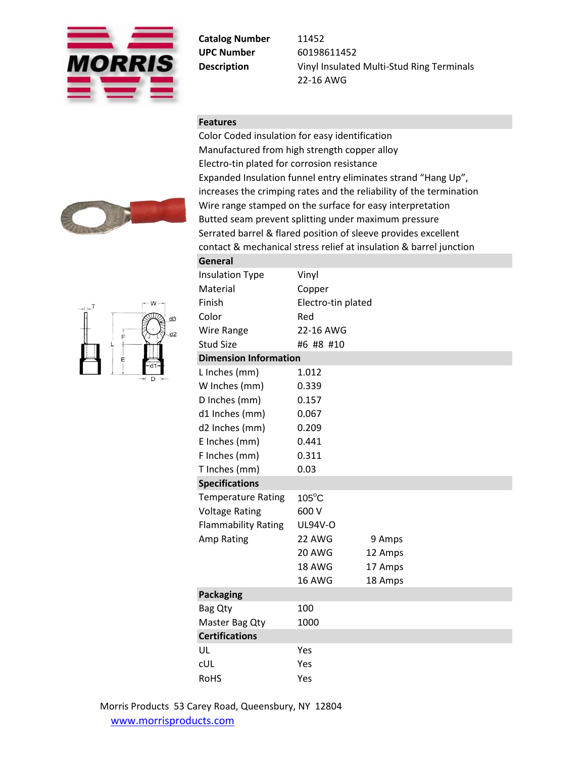

**Catalog Number** 11452 **UPC Number** 60198611452

**Description** Vinyl Insulated Multi-Stud Ring Terminals 22-16 AWG

## **Features**

Color Coded insulation for easy identification Manufactured from high strength copper alloy Electro-tin plated for corrosion resistance Expanded Insulation funnel entry eliminates strand "Hang Up", increases the crimping rates and the reliability of the termination Wire range stamped on the surface for easy interpretation Butted seam prevent splitting under maximum pressure Serrated barrel & flared position of sleeve provides excellent contact & mechanical stress relief at insulation & barrel junction





| General                      |                    |         |  |  |  |  |
|------------------------------|--------------------|---------|--|--|--|--|
| <b>Insulation Type</b>       | Vinyl              |         |  |  |  |  |
| Material                     | Copper             |         |  |  |  |  |
| Finish                       | Electro-tin plated |         |  |  |  |  |
| Color                        | Red                |         |  |  |  |  |
| <b>Wire Range</b>            | 22-16 AWG          |         |  |  |  |  |
| <b>Stud Size</b>             | #6 #8 #10          |         |  |  |  |  |
| <b>Dimension Information</b> |                    |         |  |  |  |  |
| L Inches (mm)                | 1.012              |         |  |  |  |  |
| W Inches (mm)                | 0.339              |         |  |  |  |  |
| D Inches (mm)                | 0.157              |         |  |  |  |  |
| d1 Inches (mm)               | 0.067              |         |  |  |  |  |
| d2 Inches (mm)               | 0.209              |         |  |  |  |  |
| E Inches (mm)                | 0.441              |         |  |  |  |  |
| F Inches (mm)                | 0.311              |         |  |  |  |  |
| T Inches (mm)                | 0.03               |         |  |  |  |  |
| <b>Specifications</b>        |                    |         |  |  |  |  |
| <b>Temperature Rating</b>    | $105^{\circ}$ C    |         |  |  |  |  |
| <b>Voltage Rating</b>        | 600 V              |         |  |  |  |  |
| <b>Flammability Rating</b>   | UL94V-O            |         |  |  |  |  |
| Amp Rating                   | 22 AWG             | 9 Amps  |  |  |  |  |
|                              | 20 AWG             | 12 Amps |  |  |  |  |
|                              | 18 AWG             | 17 Amps |  |  |  |  |
|                              | 16 AWG             | 18 Amps |  |  |  |  |
| <b>Packaging</b>             |                    |         |  |  |  |  |
| Bag Qty                      | 100                |         |  |  |  |  |
| Master Bag Qty               | 1000               |         |  |  |  |  |
| <b>Certifications</b>        |                    |         |  |  |  |  |
| UL                           | Yes                |         |  |  |  |  |
| <b>CUL</b>                   | Yes                |         |  |  |  |  |
| <b>RoHS</b>                  | Yes                |         |  |  |  |  |
|                              |                    |         |  |  |  |  |

Morris Products 53 Carey Road, Queensbury, NY 12804 [www.morrisprodu](http://www.morrisproducts.com/)cts.com